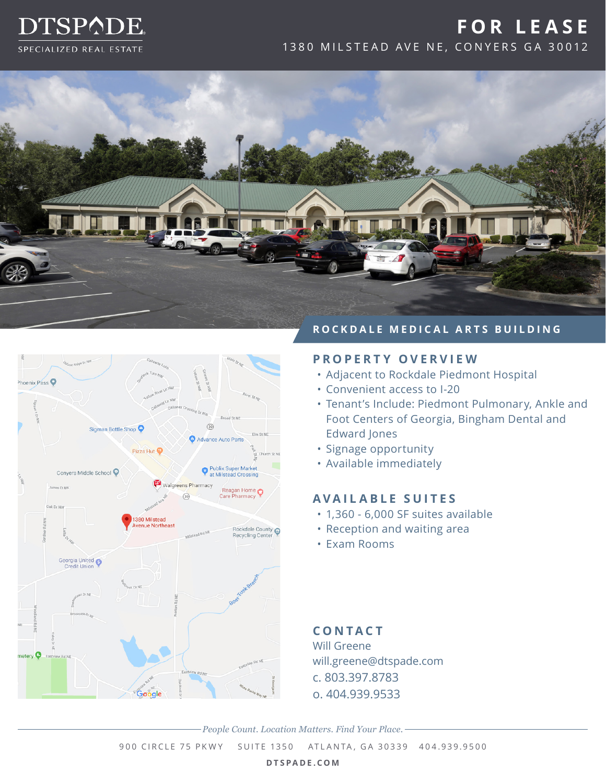

# **FOR LEASE** 1380 MILSTEAD AVE NE, CONYERS GA 30012





#### **ROCKDALE MEDICAL ARTS BUILDING**

# **PROPERTY OVERVIEW**

- Adjacent to Rockdale Piedmont Hospital
- Convenient access to I-20
- Tenant's Include: Piedmont Pulmonary, Ankle and Foot Centers of Georgia, Bingham Dental and Edward Jones
- Signage opportunity
- Available immediately

### **AVAILABLE SUITES**

- 1,360 6,000 SF suites available
- Reception and waiting area
- Exam Rooms

**CONTACT** Will Greene will.greene@dtspade.com c. 803.397.8783 o. 404.939.9533

*People Count. Location Matters. Find Your Place.*

900 CIRCLE 75 PKWY SUITE 1350 ATLANTA, GA 30339 404.939.9500

**DTSPADE.COM**